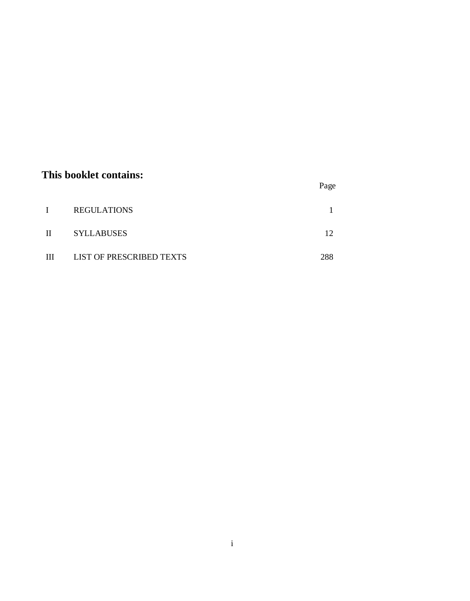## **This booklet contains:**

|  | Page |
|--|------|
|  |      |

|              | <b>REGULATIONS</b>       |  |
|--------------|--------------------------|--|
| $\mathbf{H}$ | <b>SYLLABUSES</b>        |  |
| Ш            | LIST OF PRESCRIBED TEXTS |  |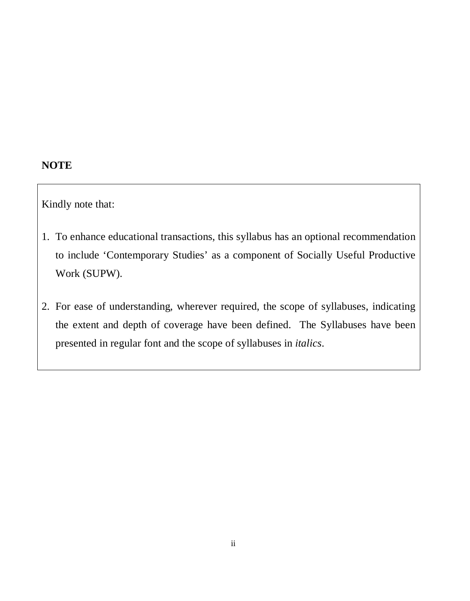## **NOTE**

Kindly note that:

- 1. To enhance educational transactions, this syllabus has an optional recommendation to include 'Contemporary Studies' as a component of Socially Useful Productive Work (SUPW).
- 2. For ease of understanding, wherever required, the scope of syllabuses, indicating the extent and depth of coverage have been defined. The Syllabuses have been presented in regular font and the scope of syllabuses in *italics*.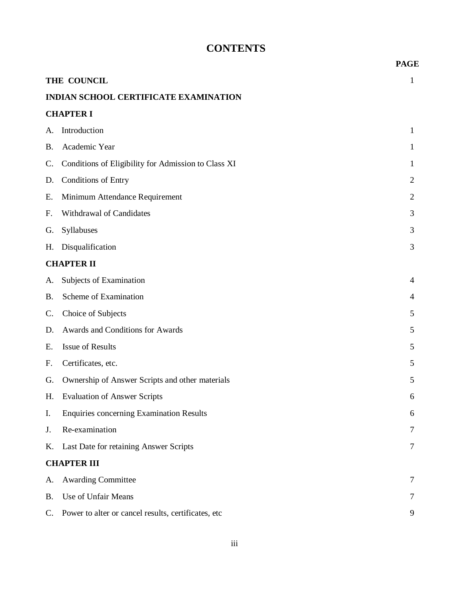# **CONTENTS**

|           |                                                     | <b>PAGE</b>    |
|-----------|-----------------------------------------------------|----------------|
|           | THE COUNCIL                                         | 1              |
|           | <b>INDIAN SCHOOL CERTIFICATE EXAMINATION</b>        |                |
|           | <b>CHAPTER I</b>                                    |                |
| A.        | Introduction                                        | 1              |
| <b>B.</b> | Academic Year                                       | 1              |
| C.        | Conditions of Eligibility for Admission to Class XI | 1              |
| D.        | <b>Conditions of Entry</b>                          | 2              |
| Ε.        | Minimum Attendance Requirement                      | $\overline{2}$ |
| F.        | Withdrawal of Candidates                            | 3              |
| G.        | Syllabuses                                          | 3              |
| Η.        | Disqualification                                    | 3              |
|           | <b>CHAPTER II</b>                                   |                |
| A.        | Subjects of Examination                             | 4              |
| <b>B.</b> | Scheme of Examination                               | 4              |
| C.        | Choice of Subjects                                  | 5              |
| D.        | Awards and Conditions for Awards                    | 5              |
| Ε.        | Issue of Results                                    | 5              |
| F.        | Certificates, etc.                                  | 5              |
| G.        | Ownership of Answer Scripts and other materials     | 5              |
| Н.        | <b>Evaluation of Answer Scripts</b>                 | 6              |
| I.        | <b>Enquiries concerning Examination Results</b>     | 6              |
| J.        | Re-examination                                      | Ί              |
| Κ.        | Last Date for retaining Answer Scripts              | 7              |
|           | <b>CHAPTER III</b>                                  |                |
| A.        | <b>Awarding Committee</b>                           | 7              |
| B.        | Use of Unfair Means                                 |                |
| C.        | Power to alter or cancel results, certificates, etc | 9              |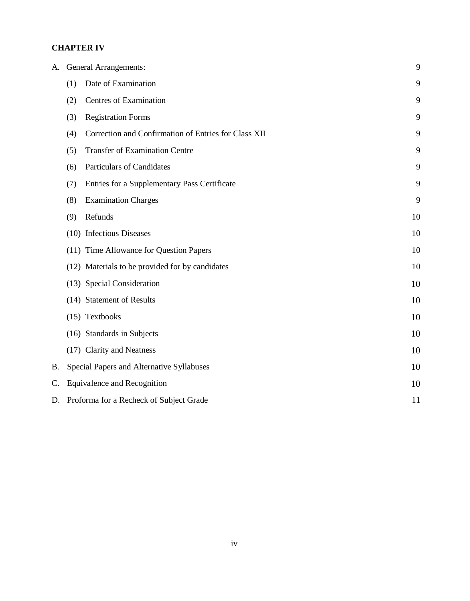#### **CHAPTER IV**

| A. |     | <b>General Arrangements:</b>                         | 9  |
|----|-----|------------------------------------------------------|----|
|    | (1) | Date of Examination                                  | 9  |
|    | (2) | <b>Centres of Examination</b>                        | 9  |
|    | (3) | <b>Registration Forms</b>                            | 9  |
|    | (4) | Correction and Confirmation of Entries for Class XII | 9  |
|    | (5) | <b>Transfer of Examination Centre</b>                | 9  |
|    | (6) | <b>Particulars of Candidates</b>                     | 9  |
|    | (7) | Entries for a Supplementary Pass Certificate         | 9  |
|    | (8) | <b>Examination Charges</b>                           | 9  |
|    | (9) | Refunds                                              | 10 |
|    |     | (10) Infectious Diseases                             | 10 |
|    |     | (11) Time Allowance for Question Papers              | 10 |
|    |     | (12) Materials to be provided for by candidates      | 10 |
|    |     | (13) Special Consideration                           | 10 |
|    |     | (14) Statement of Results                            | 10 |
|    |     | (15) Textbooks                                       | 10 |
|    |     | (16) Standards in Subjects                           | 10 |
|    |     | (17) Clarity and Neatness                            | 10 |
| Β. |     | Special Papers and Alternative Syllabuses            | 10 |
| C. |     | <b>Equivalence and Recognition</b>                   | 10 |
| D. |     | Proforma for a Recheck of Subject Grade              | 11 |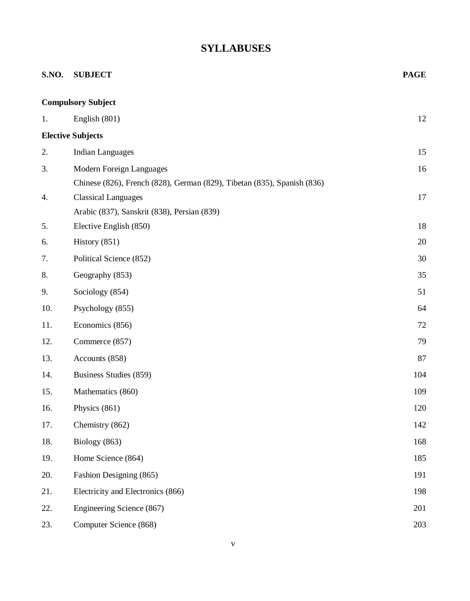# **SYLLABUSES**

| S.NO. | <b>SUBJECT</b>                                                          | <b>PAGE</b> |
|-------|-------------------------------------------------------------------------|-------------|
|       | <b>Compulsory Subject</b>                                               |             |
| 1.    | English (801)                                                           | 12          |
|       | <b>Elective Subjects</b>                                                |             |
| 2.    | <b>Indian Languages</b>                                                 | 15          |
| 3.    | Modern Foreign Languages                                                | 16          |
|       | Chinese (826), French (828), German (829), Tibetan (835), Spanish (836) |             |
| 4.    | <b>Classical Languages</b>                                              | 17          |
|       | Arabic (837), Sanskrit (838), Persian (839)                             |             |
| 5.    | Elective English (850)                                                  | 18          |
| 6.    | History $(851)$                                                         | 20          |
| 7.    | Political Science (852)                                                 | 30          |
| 8.    | Geography (853)                                                         | 35          |
| 9.    | Sociology (854)                                                         | 51          |
| 10.   | Psychology (855)                                                        | 64          |
| 11.   | Economics (856)                                                         | 72          |
| 12.   | Commerce (857)                                                          | 79          |
| 13.   | Accounts (858)                                                          | 87          |
| 14.   | Business Studies (859)                                                  | 104         |
| 15.   | Mathematics (860)                                                       | 109         |
| 16.   | Physics (861)                                                           | 120         |
| 17.   | Chemistry (862)                                                         | 142         |
| 18.   | Biology (863)                                                           | 168         |
| 19.   | Home Science (864)                                                      | 185         |
| 20.   | Fashion Designing (865)                                                 | 191         |
| 21.   | Electricity and Electronics (866)                                       | 198         |
| 22.   | Engineering Science (867)                                               | 201         |
| 23.   | Computer Science (868)                                                  | 203         |